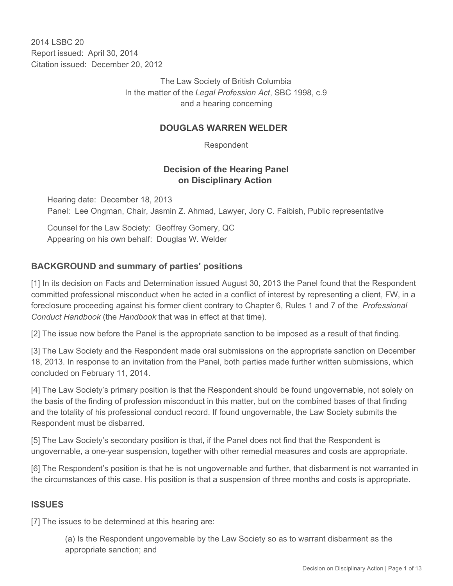2014 I SBC 20 Report issued: April 30, 2014 Citation issued: December 20, 2012

> The Law Society of British Columbia In the matter of the *Legal Profession Act*, SBC 1998, c.9 and a hearing concerning

### **DOUGLAS WARREN WELDER**

Respondent

### **Decision of the Hearing Panel on Disciplinary Action**

Hearing date: December 18, 2013 Panel: Lee Ongman, Chair, Jasmin Z. Ahmad, Lawyer, Jory C. Faibish, Public representative

Counsel for the Law Society: Geoffrey Gomery, QC Appearing on his own behalf: Douglas W. Welder

# **BACKGROUND and summary of parties' positions**

[1] In its decision on Facts and Determination issued August 30, 2013 the Panel found that the Respondent committed professional misconduct when he acted in a conflict of interest by representing a client, FW, in a foreclosure proceeding against his former client contrary to Chapter 6, Rules 1 and 7 of the *Professional Conduct Handbook* (the *Handbook* that was in effect at that time).

[2] The issue now before the Panel is the appropriate sanction to be imposed as a result of that finding.

[3] The Law Society and the Respondent made oral submissions on the appropriate sanction on December 18, 2013. In response to an invitation from the Panel, both parties made further written submissions, which concluded on February 11, 2014.

[4] The Law Society's primary position is that the Respondent should be found ungovernable, not solely on the basis of the finding of profession misconduct in this matter, but on the combined bases of that finding and the totality of his professional conduct record. If found ungovernable, the Law Society submits the Respondent must be disbarred.

[5] The Law Society's secondary position is that, if the Panel does not find that the Respondent is ungovernable, a one-year suspension, together with other remedial measures and costs are appropriate.

[6] The Respondent's position is that he is not ungovernable and further, that disbarment is not warranted in the circumstances of this case. His position is that a suspension of three months and costs is appropriate.

# **ISSUES**

[7] The issues to be determined at this hearing are:

(a) Is the Respondent ungovernable by the Law Society so as to warrant disbarment as the appropriate sanction; and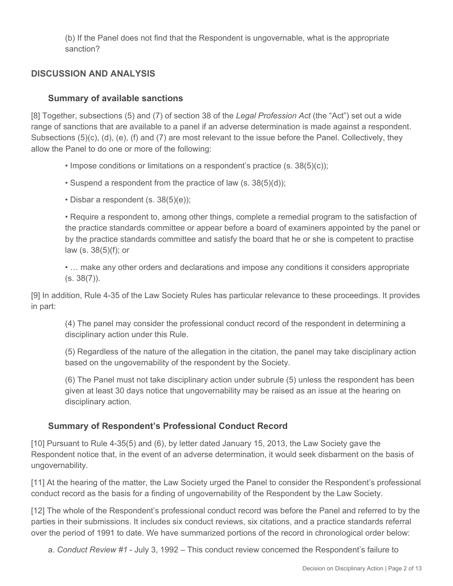(b) If the Panel does not find that the Respondent is ungovernable, what is the appropriate sanction?

# **DISCUSSION AND ANALYSIS**

### **Summary of available sanctions**

[8] Together, subsections (5) and (7) of section 38 of the *Legal Profession Act* (the "Act") set out a wide range of sanctions that are available to a panel if an adverse determination is made against a respondent. Subsections (5)(c), (d), (e), (f) and (7) are most relevant to the issue before the Panel. Collectively, they allow the Panel to do one or more of the following:

- Impose conditions or limitations on a respondent's practice (s. 38(5)(c));
- Suspend a respondent from the practice of law (s. 38(5)(d));
- Disbar a respondent (s. 38(5)(e));

• Require a respondent to, among other things, complete a remedial program to the satisfaction of the practice standards committee or appear before a board of examiners appointed by the panel or by the practice standards committee and satisfy the board that he or she is competent to practise law (s. 38(5)(f); or

• ... make any other orders and declarations and impose any conditions it considers appropriate  $(s. 38(7))$ .

[9] In addition, Rule 4-35 of the Law Society Rules has particular relevance to these proceedings. It provides in part:

(4) The panel may consider the professional conduct record of the respondent in determining a disciplinary action under this Rule.

(5) Regardless of the nature of the allegation in the citation, the panel may take disciplinary action based on the ungovernability of the respondent by the Society.

(6) The Panel must not take disciplinary action under subrule (5) unless the respondent has been given at least 30 days notice that ungovernability may be raised as an issue at the hearing on disciplinary action.

# **Summary of Respondent's Professional Conduct Record**

[10] Pursuant to Rule 4-35(5) and (6), by letter dated January 15, 2013, the Law Society gave the Respondent notice that, in the event of an adverse determination, it would seek disbarment on the basis of ungovernability.

[11] At the hearing of the matter, the Law Society urged the Panel to consider the Respondent's professional conduct record as the basis for a finding of ungovernability of the Respondent by the Law Society.

[12] The whole of the Respondent's professional conduct record was before the Panel and referred to by the parties in their submissions. It includes six conduct reviews, six citations, and a practice standards referral over the period of 1991 to date. We have summarized portions of the record in chronological order below:

a. *Conduct Review #1* - July 3, 1992 – This conduct review concerned the Respondent's failure to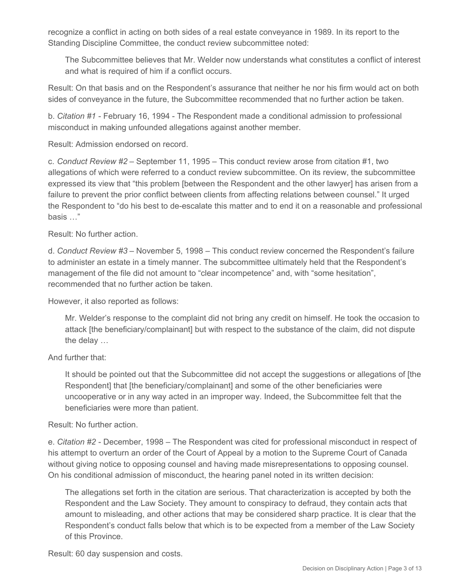recognize a conflict in acting on both sides of a real estate conveyance in 1989. In its report to the Standing Discipline Committee, the conduct review subcommittee noted:

The Subcommittee believes that Mr. Welder now understands what constitutes a conflict of interest and what is required of him if a conflict occurs.

Result: On that basis and on the Respondent's assurance that neither he nor his firm would act on both sides of conveyance in the future, the Subcommittee recommended that no further action be taken.

b. *Citation #1* - February 16, 1994 - The Respondent made a conditional admission to professional misconduct in making unfounded allegations against another member.

Result: Admission endorsed on record.

c. *Conduct Review #2* – September 11, 1995 – This conduct review arose from citation #1, two allegations of which were referred to a conduct review subcommittee. On its review, the subcommittee expressed its view that "this problem [between the Respondent and the other lawyer] has arisen from a failure to prevent the prior conflict between clients from affecting relations between counsel." It urged the Respondent to "do his best to de-escalate this matter and to end it on a reasonable and professional basis …"

Result: No further action.

d. *Conduct Review #3* – November 5, 1998 – This conduct review concerned the Respondent's failure to administer an estate in a timely manner. The subcommittee ultimately held that the Respondent's management of the file did not amount to "clear incompetence" and, with "some hesitation", recommended that no further action be taken.

However, it also reported as follows:

Mr. Welder's response to the complaint did not bring any credit on himself. He took the occasion to attack [the beneficiary/complainant] but with respect to the substance of the claim, did not dispute the delay …

And further that:

It should be pointed out that the Subcommittee did not accept the suggestions or allegations of [the Respondent] that [the beneficiary/complainant] and some of the other beneficiaries were uncooperative or in any way acted in an improper way. Indeed, the Subcommittee felt that the beneficiaries were more than patient.

Result: No further action.

e. *Citation #2* - December, 1998 – The Respondent was cited for professional misconduct in respect of his attempt to overturn an order of the Court of Appeal by a motion to the Supreme Court of Canada without giving notice to opposing counsel and having made misrepresentations to opposing counsel. On his conditional admission of misconduct, the hearing panel noted in its written decision:

The allegations set forth in the citation are serious. That characterization is accepted by both the Respondent and the Law Society. They amount to conspiracy to defraud, they contain acts that amount to misleading, and other actions that may be considered sharp practice. It is clear that the Respondent's conduct falls below that which is to be expected from a member of the Law Society of this Province.

Result: 60 day suspension and costs.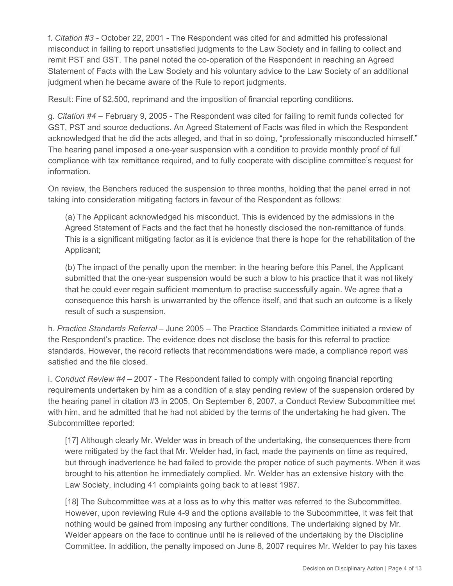f. *Citation #3* - October 22, 2001 - The Respondent was cited for and admitted his professional misconduct in failing to report unsatisfied judgments to the Law Society and in failing to collect and remit PST and GST. The panel noted the co-operation of the Respondent in reaching an Agreed Statement of Facts with the Law Society and his voluntary advice to the Law Society of an additional judgment when he became aware of the Rule to report judgments.

Result: Fine of \$2,500, reprimand and the imposition of financial reporting conditions.

g. *Citation #4* – February 9, 2005 - The Respondent was cited for failing to remit funds collected for GST, PST and source deductions. An Agreed Statement of Facts was filed in which the Respondent acknowledged that he did the acts alleged, and that in so doing, "professionally misconducted himself." The hearing panel imposed a one-year suspension with a condition to provide monthly proof of full compliance with tax remittance required, and to fully cooperate with discipline committee's request for information.

On review, the Benchers reduced the suspension to three months, holding that the panel erred in not taking into consideration mitigating factors in favour of the Respondent as follows:

(a) The Applicant acknowledged his misconduct. This is evidenced by the admissions in the Agreed Statement of Facts and the fact that he honestly disclosed the non-remittance of funds. This is a significant mitigating factor as it is evidence that there is hope for the rehabilitation of the Applicant;

(b) The impact of the penalty upon the member: in the hearing before this Panel, the Applicant submitted that the one-year suspension would be such a blow to his practice that it was not likely that he could ever regain sufficient momentum to practise successfully again. We agree that a consequence this harsh is unwarranted by the offence itself, and that such an outcome is a likely result of such a suspension.

h. *Practice Standards Referral* – June 2005 – The Practice Standards Committee initiated a review of the Respondent's practice. The evidence does not disclose the basis for this referral to practice standards. However, the record reflects that recommendations were made, a compliance report was satisfied and the file closed.

i. *Conduct Review #4* – 2007 - The Respondent failed to comply with ongoing financial reporting requirements undertaken by him as a condition of a stay pending review of the suspension ordered by the hearing panel in citation #3 in 2005. On September 6, 2007, a Conduct Review Subcommittee met with him, and he admitted that he had not abided by the terms of the undertaking he had given. The Subcommittee reported:

[17] Although clearly Mr. Welder was in breach of the undertaking, the consequences there from were mitigated by the fact that Mr. Welder had, in fact, made the payments on time as required, but through inadvertence he had failed to provide the proper notice of such payments. When it was brought to his attention he immediately complied. Mr. Welder has an extensive history with the Law Society, including 41 complaints going back to at least 1987.

[18] The Subcommittee was at a loss as to why this matter was referred to the Subcommittee. However, upon reviewing Rule 4-9 and the options available to the Subcommittee, it was felt that nothing would be gained from imposing any further conditions. The undertaking signed by Mr. Welder appears on the face to continue until he is relieved of the undertaking by the Discipline Committee. In addition, the penalty imposed on June 8, 2007 requires Mr. Welder to pay his taxes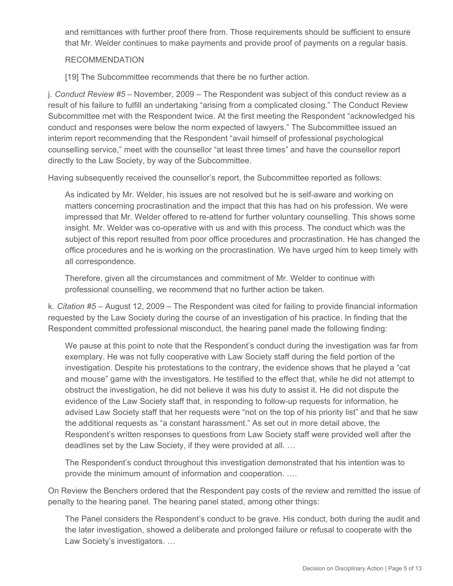and remittances with further proof there from. Those requirements should be sufficient to ensure that Mr. Welder continues to make payments and provide proof of payments on a regular basis.

#### RECOMMENDATION

[19] The Subcommittee recommends that there be no further action.

j. *Conduct Review #5* – November, 2009 – The Respondent was subject of this conduct review as a result of his failure to fulfill an undertaking "arising from a complicated closing." The Conduct Review Subcommittee met with the Respondent twice. At the first meeting the Respondent "acknowledged his conduct and responses were below the norm expected of lawyers." The Subcommittee issued an interim report recommending that the Respondent "avail himself of professional psychological counselling service," meet with the counsellor "at least three times" and have the counsellor report directly to the Law Society, by way of the Subcommittee.

Having subsequently received the counsellor's report, the Subcommittee reported as follows:

As indicated by Mr. Welder, his issues are not resolved but he is self-aware and working on matters concerning procrastination and the impact that this has had on his profession. We were impressed that Mr. Welder offered to re-attend for further voluntary counselling. This shows some insight. Mr. Welder was co-operative with us and with this process. The conduct which was the subject of this report resulted from poor office procedures and procrastination. He has changed the office procedures and he is working on the procrastination. We have urged him to keep timely with all correspondence.

Therefore, given all the circumstances and commitment of Mr. Welder to continue with professional counselling, we recommend that no further action be taken.

k. *Citation #5* – August 12, 2009 – The Respondent was cited for failing to provide financial information requested by the Law Society during the course of an investigation of his practice. In finding that the Respondent committed professional misconduct, the hearing panel made the following finding:

We pause at this point to note that the Respondent's conduct during the investigation was far from exemplary. He was not fully cooperative with Law Society staff during the field portion of the investigation. Despite his protestations to the contrary, the evidence shows that he played a "cat and mouse" game with the investigators. He testified to the effect that, while he did not attempt to obstruct the investigation, he did not believe it was his duty to assist it. He did not dispute the evidence of the Law Society staff that, in responding to follow-up requests for information, he advised Law Society staff that her requests were "not on the top of his priority list" and that he saw the additional requests as "a constant harassment." As set out in more detail above, the Respondent's written responses to questions from Law Society staff were provided well after the deadlines set by the Law Society, if they were provided at all. …

The Respondent's conduct throughout this investigation demonstrated that his intention was to provide the minimum amount of information and cooperation. ….

On Review the Benchers ordered that the Respondent pay costs of the review and remitted the issue of penalty to the hearing panel. The hearing panel stated, among other things:

The Panel considers the Respondent's conduct to be grave. His conduct, both during the audit and the later investigation, showed a deliberate and prolonged failure or refusal to cooperate with the Law Society's investigators. …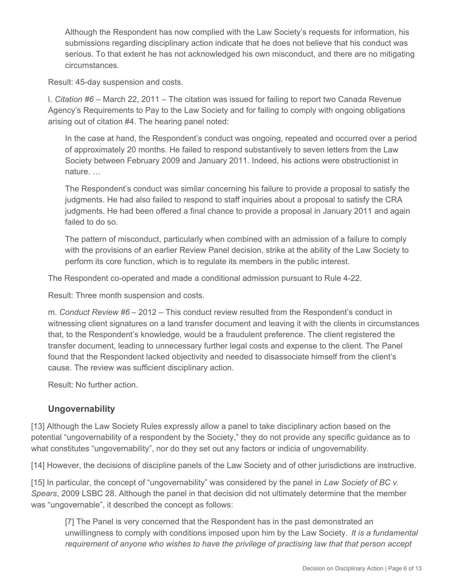Although the Respondent has now complied with the Law Society's requests for information, his submissions regarding disciplinary action indicate that he does not believe that his conduct was serious. To that extent he has not acknowledged his own misconduct, and there are no mitigating circumstances.

Result: 45-day suspension and costs.

l. *Citation #6* – March 22, 2011 – The citation was issued for failing to report two Canada Revenue Agency's Requirements to Pay to the Law Society and for failing to comply with ongoing obligations arising out of citation #4. The hearing panel noted:

In the case at hand, the Respondent's conduct was ongoing, repeated and occurred over a period of approximately 20 months. He failed to respond substantively to seven letters from the Law Society between February 2009 and January 2011. Indeed, his actions were obstructionist in nature. …

The Respondent's conduct was similar concerning his failure to provide a proposal to satisfy the judgments. He had also failed to respond to staff inquiries about a proposal to satisfy the CRA judgments. He had been offered a final chance to provide a proposal in January 2011 and again failed to do so.

The pattern of misconduct, particularly when combined with an admission of a failure to comply with the provisions of an earlier Review Panel decision, strike at the ability of the Law Society to perform its core function, which is to regulate its members in the public interest.

The Respondent co-operated and made a conditional admission pursuant to Rule 4-22.

Result: Three month suspension and costs.

m. *Conduct Review #6* – 2012 – This conduct review resulted from the Respondent's conduct in witnessing client signatures on a land transfer document and leaving it with the clients in circumstances that, to the Respondent's knowledge, would be a fraudulent preference. The client registered the transfer document, leading to unnecessary further legal costs and expense to the client. The Panel found that the Respondent lacked objectivity and needed to disassociate himself from the client's cause. The review was sufficient disciplinary action.

Result: No further action.

### **Ungovernability**

[13] Although the Law Society Rules expressly allow a panel to take disciplinary action based on the potential "ungovernability of a respondent by the Society," they do not provide any specific guidance as to what constitutes "ungovernability", nor do they set out any factors or indicia of ungovernability.

[14] However, the decisions of discipline panels of the Law Society and of other jurisdictions are instructive.

[15] In particular, the concept of "ungovernability" was considered by the panel in *Law Society of BC v. Spears*, 2009 LSBC 28. Although the panel in that decision did not ultimately determine that the member was "ungovernable", it described the concept as follows:

[7] The Panel is very concerned that the Respondent has in the past demonstrated an unwillingness to comply with conditions imposed upon him by the Law Society. *It is a fundamental requirement of anyone who wishes to have the privilege of practising law that that person accept*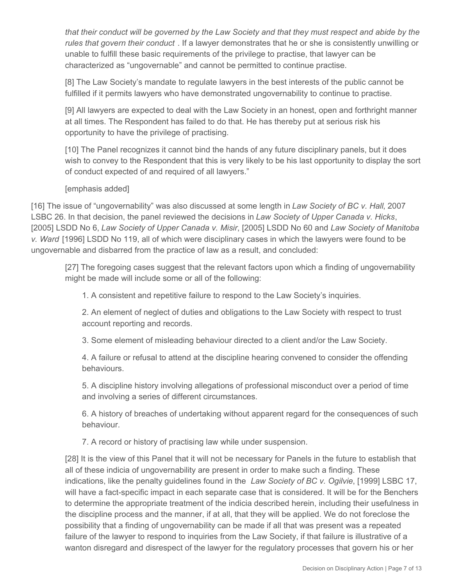*that their conduct will be governed by the Law Society and that they must respect and abide by the rules that govern their conduct* . If a lawyer demonstrates that he or she is consistently unwilling or unable to fulfill these basic requirements of the privilege to practise, that lawyer can be characterized as "ungovernable" and cannot be permitted to continue practise.

[8] The Law Society's mandate to regulate lawyers in the best interests of the public cannot be fulfilled if it permits lawyers who have demonstrated ungovernability to continue to practise.

[9] All lawyers are expected to deal with the Law Society in an honest, open and forthright manner at all times. The Respondent has failed to do that. He has thereby put at serious risk his opportunity to have the privilege of practising.

[10] The Panel recognizes it cannot bind the hands of any future disciplinary panels, but it does wish to convey to the Respondent that this is very likely to be his last opportunity to display the sort of conduct expected of and required of all lawyers."

#### [emphasis added]

[16] The issue of "ungovernability" was also discussed at some length in *Law Society of BC v. Hall*, 2007 LSBC 26. In that decision, the panel reviewed the decisions in *Law Society of Upper Canada v. Hicks*, [2005] LSDD No 6, *Law Society of Upper Canada v. Misir*, [2005] LSDD No 60 and *Law Society of Manitoba v. Ward* [1996] LSDD No 119, all of which were disciplinary cases in which the lawyers were found to be ungovernable and disbarred from the practice of law as a result, and concluded:

[27] The foregoing cases suggest that the relevant factors upon which a finding of ungovernability might be made will include some or all of the following:

1. A consistent and repetitive failure to respond to the Law Society's inquiries.

2. An element of neglect of duties and obligations to the Law Society with respect to trust account reporting and records.

3. Some element of misleading behaviour directed to a client and/or the Law Society.

4. A failure or refusal to attend at the discipline hearing convened to consider the offending behaviours.

5. A discipline history involving allegations of professional misconduct over a period of time and involving a series of different circumstances.

6. A history of breaches of undertaking without apparent regard for the consequences of such behaviour.

7. A record or history of practising law while under suspension.

[28] It is the view of this Panel that it will not be necessary for Panels in the future to establish that all of these indicia of ungovernability are present in order to make such a finding. These indications, like the penalty guidelines found in the *Law Society of BC v. Ogilvie*, [1999] LSBC 17, will have a fact-specific impact in each separate case that is considered. It will be for the Benchers to determine the appropriate treatment of the indicia described herein, including their usefulness in the discipline process and the manner, if at all, that they will be applied. We do not foreclose the possibility that a finding of ungovernability can be made if all that was present was a repeated failure of the lawyer to respond to inquiries from the Law Society, if that failure is illustrative of a wanton disregard and disrespect of the lawyer for the regulatory processes that govern his or her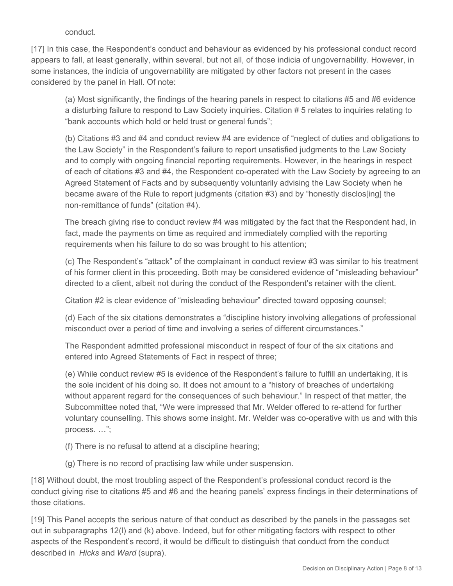conduct.

[17] In this case, the Respondent's conduct and behaviour as evidenced by his professional conduct record appears to fall, at least generally, within several, but not all, of those indicia of ungovernability. However, in some instances, the indicia of ungovernability are mitigated by other factors not present in the cases considered by the panel in Hall. Of note:

(a) Most significantly, the findings of the hearing panels in respect to citations #5 and #6 evidence a disturbing failure to respond to Law Society inquiries. Citation # 5 relates to inquiries relating to "bank accounts which hold or held trust or general funds";

(b) Citations #3 and #4 and conduct review #4 are evidence of "neglect of duties and obligations to the Law Society" in the Respondent's failure to report unsatisfied judgments to the Law Society and to comply with ongoing financial reporting requirements. However, in the hearings in respect of each of citations #3 and #4, the Respondent co-operated with the Law Society by agreeing to an Agreed Statement of Facts and by subsequently voluntarily advising the Law Society when he became aware of the Rule to report judgments (citation #3) and by "honestly disclos[ing] the non-remittance of funds" (citation #4).

The breach giving rise to conduct review #4 was mitigated by the fact that the Respondent had, in fact, made the payments on time as required and immediately complied with the reporting requirements when his failure to do so was brought to his attention;

(c) The Respondent's "attack" of the complainant in conduct review #3 was similar to his treatment of his former client in this proceeding. Both may be considered evidence of "misleading behaviour" directed to a client, albeit not during the conduct of the Respondent's retainer with the client.

Citation #2 is clear evidence of "misleading behaviour" directed toward opposing counsel;

(d) Each of the six citations demonstrates a "discipline history involving allegations of professional misconduct over a period of time and involving a series of different circumstances."

The Respondent admitted professional misconduct in respect of four of the six citations and entered into Agreed Statements of Fact in respect of three;

(e) While conduct review #5 is evidence of the Respondent's failure to fulfill an undertaking, it is the sole incident of his doing so. It does not amount to a "history of breaches of undertaking without apparent regard for the consequences of such behaviour." In respect of that matter, the Subcommittee noted that, "We were impressed that Mr. Welder offered to re-attend for further voluntary counselling. This shows some insight. Mr. Welder was co-operative with us and with this process. …";

- (f) There is no refusal to attend at a discipline hearing;
- (g) There is no record of practising law while under suspension.

[18] Without doubt, the most troubling aspect of the Respondent's professional conduct record is the conduct giving rise to citations #5 and #6 and the hearing panels' express findings in their determinations of those citations.

[19] This Panel accepts the serious nature of that conduct as described by the panels in the passages set out in subparagraphs 12(l) and (k) above. Indeed, but for other mitigating factors with respect to other aspects of the Respondent's record, it would be difficult to distinguish that conduct from the conduct described in *Hicks* and *Ward* (supra).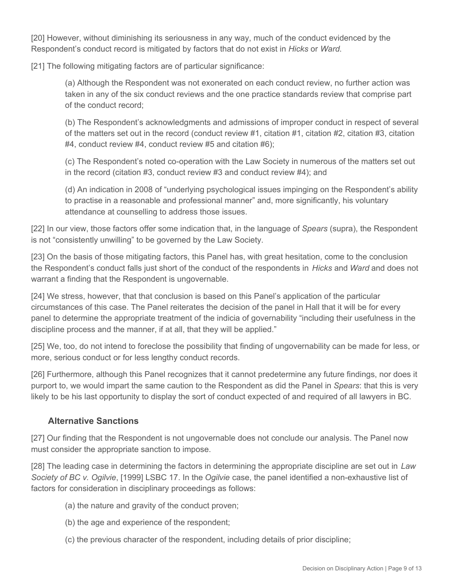[20] However, without diminishing its seriousness in any way, much of the conduct evidenced by the Respondent's conduct record is mitigated by factors that do not exist in *Hicks* or *Ward*.

[21] The following mitigating factors are of particular significance:

(a) Although the Respondent was not exonerated on each conduct review, no further action was taken in any of the six conduct reviews and the one practice standards review that comprise part of the conduct record;

(b) The Respondent's acknowledgments and admissions of improper conduct in respect of several of the matters set out in the record (conduct review #1, citation #1, citation #2, citation #3, citation #4, conduct review #4, conduct review #5 and citation #6);

(c) The Respondent's noted co-operation with the Law Society in numerous of the matters set out in the record (citation #3, conduct review #3 and conduct review #4); and

(d) An indication in 2008 of "underlying psychological issues impinging on the Respondent's ability to practise in a reasonable and professional manner" and, more significantly, his voluntary attendance at counselling to address those issues.

[22] In our view, those factors offer some indication that, in the language of *Spears* (supra), the Respondent is not "consistently unwilling" to be governed by the Law Society.

[23] On the basis of those mitigating factors, this Panel has, with great hesitation, come to the conclusion the Respondent's conduct falls just short of the conduct of the respondents in *Hicks* and *Ward* and does not warrant a finding that the Respondent is ungovernable.

[24] We stress, however, that that conclusion is based on this Panel's application of the particular circumstances of this case. The Panel reiterates the decision of the panel in Hall that it will be for every panel to determine the appropriate treatment of the indicia of governability "including their usefulness in the discipline process and the manner, if at all, that they will be applied."

[25] We, too, do not intend to foreclose the possibility that finding of ungovernability can be made for less, or more, serious conduct or for less lengthy conduct records.

[26] Furthermore, although this Panel recognizes that it cannot predetermine any future findings, nor does it purport to, we would impart the same caution to the Respondent as did the Panel in *Spears*: that this is very likely to be his last opportunity to display the sort of conduct expected of and required of all lawyers in BC.

# **Alternative Sanctions**

[27] Our finding that the Respondent is not ungovernable does not conclude our analysis. The Panel now must consider the appropriate sanction to impose.

[28] The leading case in determining the factors in determining the appropriate discipline are set out in *Law Society of BC v. Ogilvie*, [1999] LSBC 17. In the *Ogilvie* case, the panel identified a non-exhaustive list of factors for consideration in disciplinary proceedings as follows:

- (a) the nature and gravity of the conduct proven;
- (b) the age and experience of the respondent;
- (c) the previous character of the respondent, including details of prior discipline;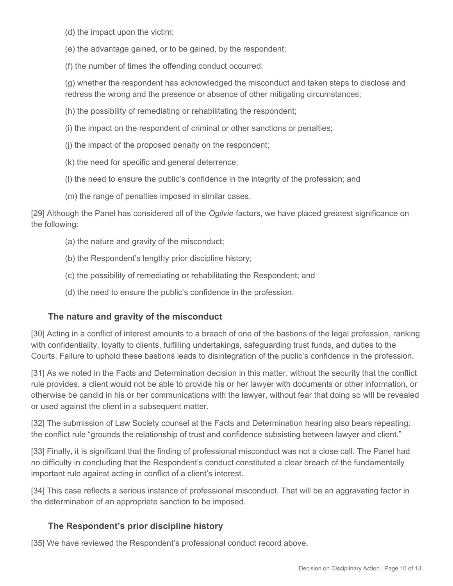(d) the impact upon the victim;

(e) the advantage gained, or to be gained, by the respondent;

(f) the number of times the offending conduct occurred;

(g) whether the respondent has acknowledged the misconduct and taken steps to disclose and redress the wrong and the presence or absence of other mitigating circumstances;

(h) the possibility of remediating or rehabilitating the respondent;

(i) the impact on the respondent of criminal or other sanctions or penalties;

(j) the impact of the proposed penalty on the respondent;

(k) the need for specific and general deterrence;

(l) the need to ensure the public's confidence in the integrity of the profession; and

(m) the range of penalties imposed in similar cases.

[29] Although the Panel has considered all of the *Ogilvie* factors, we have placed greatest significance on the following:

(a) the nature and gravity of the misconduct;

(b) the Respondent's lengthy prior discipline history;

(c) the possibility of remediating or rehabilitating the Respondent; and

(d) the need to ensure the public's confidence in the profession.

### **The nature and gravity of the misconduct**

[30] Acting in a conflict of interest amounts to a breach of one of the bastions of the legal profession, ranking with confidentiality, loyalty to clients, fulfilling undertakings, safeguarding trust funds, and duties to the Courts. Failure to uphold these bastions leads to disintegration of the public's confidence in the profession.

[31] As we noted in the Facts and Determination decision in this matter, without the security that the conflict rule provides, a client would not be able to provide his or her lawyer with documents or other information, or otherwise be candid in his or her communications with the lawyer, without fear that doing so will be revealed or used against the client in a subsequent matter.

[32] The submission of Law Society counsel at the Facts and Determination hearing also bears repeating: the conflict rule "grounds the relationship of trust and confidence subsisting between lawyer and client."

[33] Finally, it is significant that the finding of professional misconduct was not a close call. The Panel had no difficulty in concluding that the Respondent's conduct constituted a clear breach of the fundamentally important rule against acting in conflict of a client's interest.

[34] This case reflects a serious instance of professional misconduct. That will be an aggravating factor in the determination of an appropriate sanction to be imposed.

### **The Respondent's prior discipline history**

[35] We have reviewed the Respondent's professional conduct record above.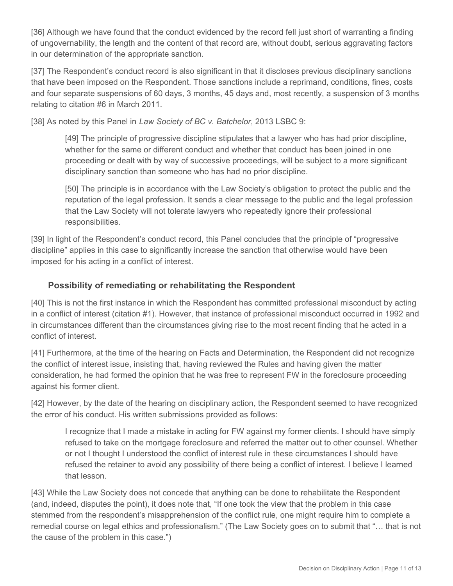[36] Although we have found that the conduct evidenced by the record fell just short of warranting a finding of ungovernability, the length and the content of that record are, without doubt, serious aggravating factors in our determination of the appropriate sanction.

[37] The Respondent's conduct record is also significant in that it discloses previous disciplinary sanctions that have been imposed on the Respondent. Those sanctions include a reprimand, conditions, fines, costs and four separate suspensions of 60 days, 3 months, 45 days and, most recently, a suspension of 3 months relating to citation #6 in March 2011.

[38] As noted by this Panel in *Law Society of BC v. Batchelor*, 2013 LSBC 9:

[49] The principle of progressive discipline stipulates that a lawyer who has had prior discipline, whether for the same or different conduct and whether that conduct has been joined in one proceeding or dealt with by way of successive proceedings, will be subject to a more significant disciplinary sanction than someone who has had no prior discipline.

[50] The principle is in accordance with the Law Society's obligation to protect the public and the reputation of the legal profession. It sends a clear message to the public and the legal profession that the Law Society will not tolerate lawyers who repeatedly ignore their professional responsibilities.

[39] In light of the Respondent's conduct record, this Panel concludes that the principle of "progressive discipline" applies in this case to significantly increase the sanction that otherwise would have been imposed for his acting in a conflict of interest.

### **Possibility of remediating or rehabilitating the Respondent**

[40] This is not the first instance in which the Respondent has committed professional misconduct by acting in a conflict of interest (citation #1). However, that instance of professional misconduct occurred in 1992 and in circumstances different than the circumstances giving rise to the most recent finding that he acted in a conflict of interest.

[41] Furthermore, at the time of the hearing on Facts and Determination, the Respondent did not recognize the conflict of interest issue, insisting that, having reviewed the Rules and having given the matter consideration, he had formed the opinion that he was free to represent FW in the foreclosure proceeding against his former client.

[42] However, by the date of the hearing on disciplinary action, the Respondent seemed to have recognized the error of his conduct. His written submissions provided as follows:

I recognize that I made a mistake in acting for FW against my former clients. I should have simply refused to take on the mortgage foreclosure and referred the matter out to other counsel. Whether or not I thought I understood the conflict of interest rule in these circumstances I should have refused the retainer to avoid any possibility of there being a conflict of interest. I believe I learned that lesson.

[43] While the Law Society does not concede that anything can be done to rehabilitate the Respondent (and, indeed, disputes the point), it does note that, "If one took the view that the problem in this case stemmed from the respondent's misapprehension of the conflict rule, one might require him to complete a remedial course on legal ethics and professionalism." (The Law Society goes on to submit that "… that is not the cause of the problem in this case.")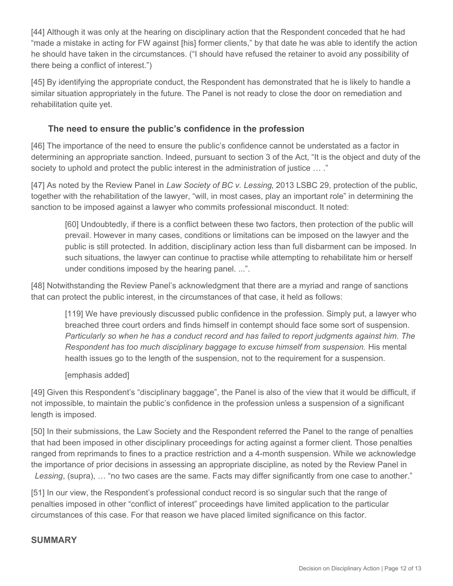[44] Although it was only at the hearing on disciplinary action that the Respondent conceded that he had "made a mistake in acting for FW against [his] former clients," by that date he was able to identify the action he should have taken in the circumstances. ("I should have refused the retainer to avoid any possibility of there being a conflict of interest.")

[45] By identifying the appropriate conduct, the Respondent has demonstrated that he is likely to handle a similar situation appropriately in the future. The Panel is not ready to close the door on remediation and rehabilitation quite yet.

# **The need to ensure the public's confidence in the profession**

[46] The importance of the need to ensure the public's confidence cannot be understated as a factor in determining an appropriate sanction. Indeed, pursuant to section 3 of the Act, "It is the object and duty of the society to uphold and protect the public interest in the administration of justice … ."

[47] As noted by the Review Panel in *Law Society of BC v. Lessing*, 2013 LSBC 29, protection of the public, together with the rehabilitation of the lawyer, "will, in most cases, play an important role" in determining the sanction to be imposed against a lawyer who commits professional misconduct. It noted:

[60] Undoubtedly, if there is a conflict between these two factors, then protection of the public will prevail. However in many cases, conditions or limitations can be imposed on the lawyer and the public is still protected. In addition, disciplinary action less than full disbarment can be imposed. In such situations, the lawyer can continue to practise while attempting to rehabilitate him or herself under conditions imposed by the hearing panel. ...".

[48] Notwithstanding the Review Panel's acknowledgment that there are a myriad and range of sanctions that can protect the public interest, in the circumstances of that case, it held as follows:

[119] We have previously discussed public confidence in the profession. Simply put, a lawyer who breached three court orders and finds himself in contempt should face some sort of suspension. *Particularly so when he has a conduct record and has failed to report judgments against him. The Respondent has too much disciplinary baggage to excuse himself from suspension.* His mental health issues go to the length of the suspension, not to the requirement for a suspension.

[emphasis added]

[49] Given this Respondent's "disciplinary baggage", the Panel is also of the view that it would be difficult, if not impossible, to maintain the public's confidence in the profession unless a suspension of a significant length is imposed.

[50] In their submissions, the Law Society and the Respondent referred the Panel to the range of penalties that had been imposed in other disciplinary proceedings for acting against a former client. Those penalties ranged from reprimands to fines to a practice restriction and a 4-month suspension. While we acknowledge the importance of prior decisions in assessing an appropriate discipline, as noted by the Review Panel in *Lessing*, (supra), … "no two cases are the same. Facts may differ significantly from one case to another."

[51] In our view, the Respondent's professional conduct record is so singular such that the range of penalties imposed in other "conflict of interest" proceedings have limited application to the particular circumstances of this case. For that reason we have placed limited significance on this factor.

# **SUMMARY**